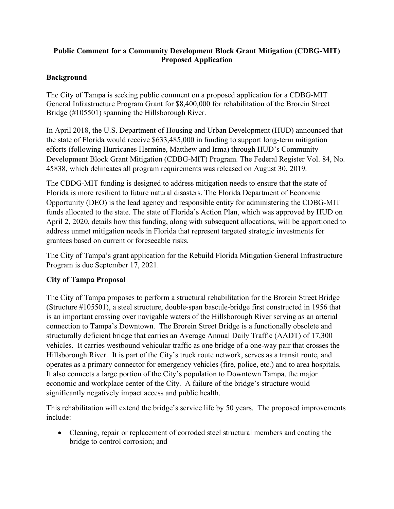## **Public Comment for a Community Development Block Grant Mitigation (CDBG-MIT) Proposed Application**

## **Background**

The City of Tampa is seeking public comment on a proposed application for a CDBG-MIT General Infrastructure Program Grant for \$8,400,000 for rehabilitation of the Brorein Street Bridge (#105501) spanning the Hillsborough River.

In April 2018, the U.S. Department of Housing and Urban Development (HUD) announced that the state of Florida would receive \$633,485,000 in funding to support long-term mitigation efforts (following Hurricanes Hermine, Matthew and Irma) through HUD's Community Development Block Grant Mitigation (CDBG-MIT) Program. The Federal Register Vol. 84, No. 45838, which delineates all program requirements was released on August 30, 2019.

The CBDG-MIT funding is designed to address mitigation needs to ensure that the state of Florida is more resilient to future natural disasters. The Florida Department of Economic Opportunity (DEO) is the lead agency and responsible entity for administering the CDBG-MIT funds allocated to the state. The state of Florida's Action Plan, which was approved by HUD on April 2, 2020, details how this funding, along with subsequent allocations, will be apportioned to address unmet mitigation needs in Florida that represent targeted strategic investments for grantees based on current or foreseeable risks.

The City of Tampa's grant application for the [Rebuild Florida Mitigation General Infrastructure](https://floridajobs.org/rebuildflorida/mitigation/general-infrastructure-program)  [Program](https://floridajobs.org/rebuildflorida/mitigation/general-infrastructure-program) is due September 17, 2021.

## **City of Tampa Proposal**

The City of Tampa proposes to perform a structural rehabilitation for the Brorein Street Bridge (Structure #105501), a steel structure, double-span bascule-bridge first constructed in 1956 that is an important crossing over navigable waters of the Hillsborough River serving as an arterial connection to Tampa's Downtown. The Brorein Street Bridge is a functionally obsolete and structurally deficient bridge that carries an Average Annual Daily Traffic (AADT) of 17,300 vehicles. It carries westbound vehicular traffic as one bridge of a one-way pair that crosses the Hillsborough River. It is part of the City's truck route network, serves as a transit route, and operates as a primary connector for emergency vehicles (fire, police, etc.) and to area hospitals. It also connects a large portion of the City's population to Downtown Tampa, the major economic and workplace center of the City. A failure of the bridge's structure would significantly negatively impact access and public health.

This rehabilitation will extend the bridge's service life by 50 years. The proposed improvements include:

• Cleaning, repair or replacement of corroded steel structural members and coating the bridge to control corrosion; and